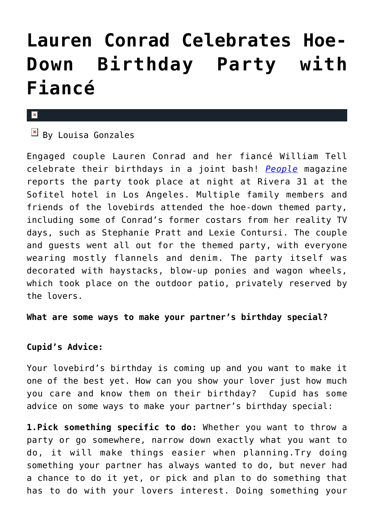# **[Lauren Conrad Celebrates Hoe-](https://cupidspulse.com/70051/lauren-conrad-celebrates-birthday-fiance/)[Down Birthday Party with](https://cupidspulse.com/70051/lauren-conrad-celebrates-birthday-fiance/) [Fiancé](https://cupidspulse.com/70051/lauren-conrad-celebrates-birthday-fiance/)**

#### ×

## $\overline{B}$  By Louisa Gonzales

Engaged couple Lauren Conrad and her fiancé William Tell celebrate their birthdays in a joint bash! *[People](http://www.people.com/people/article/0,,20785626,00.html)* magazine reports the party took place at night at Rivera 31 at the Sofitel hotel in Los Angeles. Multiple family members and friends of the lovebirds attended the hoe-down themed party, including some of Conrad's former costars from her reality TV days, such as Stephanie Pratt and Lexie Contursi. The couple and guests went all out for the themed party, with everyone wearing mostly flannels and denim. The party itself was decorated with haystacks, blow-up ponies and wagon wheels, which took place on the outdoor patio, privately reserved by the lovers.

## **What are some ways to make your partner's birthday special?**

## **Cupid's Advice:**

Your lovebird's birthday is coming up and you want to make it one of the best yet. How can you show your lover just how much you care and know them on their birthday? Cupid has some advice on some ways to make your partner's birthday special:

**1.Pick something specific to do:** Whether you want to throw a party or go somewhere, narrow down exactly what you want to do, it will make things easier when planning.Try doing something your partner has always wanted to do, but never had a chance to do it yet, or pick and plan to do something that has to do with your lovers interest. Doing something your